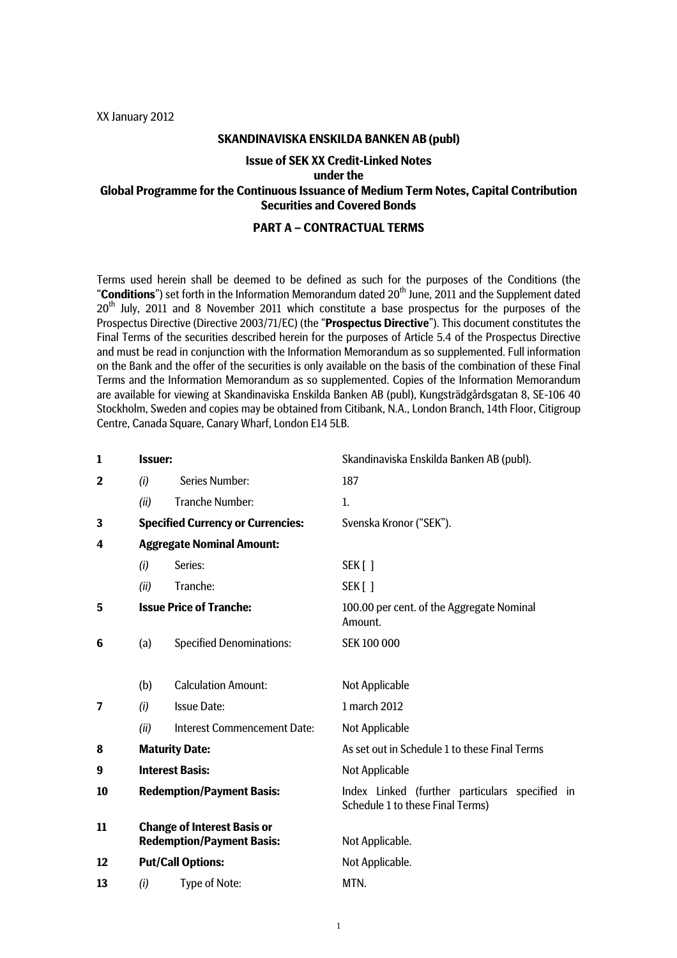XX January 2012

### **SKANDINAVISKA ENSKILDA BANKEN AB (publ)**

### **Issue of SEK XX Credit-Linked Notes**

### **under the**

# **Global Programme for the Continuous Issuance of Medium Term Notes, Capital Contribution Securities and Covered Bonds**

### **PART A – CONTRACTUAL TERMS**

Terms used herein shall be deemed to be defined as such for the purposes of the Conditions (the "**Conditions**") set forth in the Information Memorandum dated 20<sup>th</sup> June, 2011 and the Supplement dated 20<sup>th</sup> July, 2011 and 8 November 2011 which constitute a base prospectus for the purposes of the Prospectus Directive (Directive 2003/71/EC) (the "**Prospectus Directive**"). This document constitutes the Final Terms of the securities described herein for the purposes of Article 5.4 of the Prospectus Directive and must be read in conjunction with the Information Memorandum as so supplemented. Full information on the Bank and the offer of the securities is only available on the basis of the combination of these Final Terms and the Information Memorandum as so supplemented. Copies of the Information Memorandum are available for viewing at Skandinaviska Enskilda Banken AB (publ), Kungsträdgårdsgatan 8, SE-106 40 Stockholm, Sweden and copies may be obtained from Citibank, N.A., London Branch, 14th Floor, Citigroup Centre, Canada Square, Canary Wharf, London E14 5LB.

| $\mathbf{1}$            | <b>Issuer:</b>                                                         |                                          | Skandinaviska Enskilda Banken AB (publ).                                           |
|-------------------------|------------------------------------------------------------------------|------------------------------------------|------------------------------------------------------------------------------------|
| $\overline{\mathbf{2}}$ | (i)                                                                    | <b>Series Number:</b>                    | 187                                                                                |
|                         | (ii)                                                                   | <b>Tranche Number:</b>                   | $\mathbf{1}$ .                                                                     |
| 3                       |                                                                        | <b>Specified Currency or Currencies:</b> | Svenska Kronor ("SEK").                                                            |
| 4                       | <b>Aggregate Nominal Amount:</b>                                       |                                          |                                                                                    |
|                         | (i)                                                                    | Series:                                  | SEK[]                                                                              |
|                         | (ii)                                                                   | Tranche:                                 | SEK [ ]                                                                            |
| 5                       |                                                                        | <b>Issue Price of Tranche:</b>           | 100.00 per cent. of the Aggregate Nominal<br>Amount.                               |
| 6                       | (a)                                                                    | <b>Specified Denominations:</b>          | SEK 100 000                                                                        |
|                         | (b)                                                                    | <b>Calculation Amount:</b>               | <b>Not Applicable</b>                                                              |
| 7                       | (i)                                                                    | <b>Issue Date:</b>                       | 1 march 2012                                                                       |
|                         | (ii)                                                                   | <b>Interest Commencement Date:</b>       | Not Applicable                                                                     |
| 8                       | <b>Maturity Date:</b>                                                  |                                          | As set out in Schedule 1 to these Final Terms                                      |
| 9                       | <b>Interest Basis:</b>                                                 |                                          | Not Applicable                                                                     |
| 10                      | <b>Redemption/Payment Basis:</b>                                       |                                          | Index Linked (further particulars specified in<br>Schedule 1 to these Final Terms) |
| 11                      | <b>Change of Interest Basis or</b><br><b>Redemption/Payment Basis:</b> |                                          | Not Applicable.                                                                    |
| 12                      | <b>Put/Call Options:</b>                                               |                                          | Not Applicable.                                                                    |
| 13                      | (i)                                                                    | Type of Note:                            | MTN.                                                                               |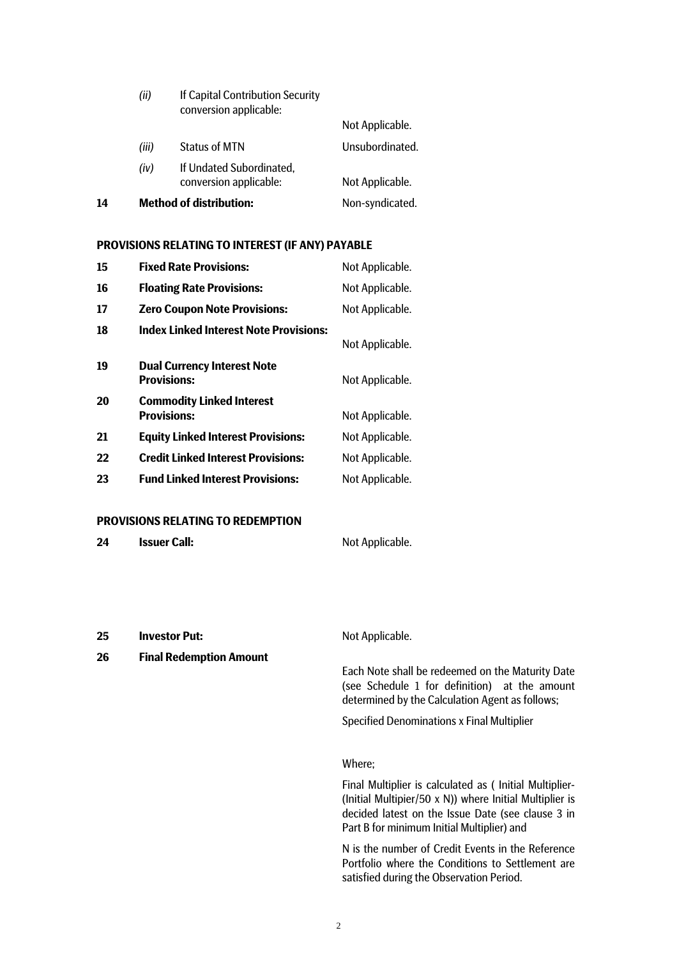|    | (ii)  | If Capital Contribution Security<br>conversion applicable: |                 |
|----|-------|------------------------------------------------------------|-----------------|
|    |       |                                                            | Not Applicable. |
|    | (iii) | <b>Status of MTN</b>                                       | Unsubordinated. |
|    | (iv)  | If Undated Subordinated,<br>conversion applicable:         | Not Applicable. |
| 14 |       | <b>Method of distribution:</b>                             | Non-syndicated. |

### **PROVISIONS RELATING TO INTEREST (IF ANY) PAYABLE**

| 15 | <b>Fixed Rate Provisions:</b>                            | Not Applicable. |
|----|----------------------------------------------------------|-----------------|
| 16 | <b>Floating Rate Provisions:</b>                         | Not Applicable. |
| 17 | <b>Zero Coupon Note Provisions:</b>                      | Not Applicable. |
| 18 | <b>Index Linked Interest Note Provisions:</b>            | Not Applicable. |
| 19 | <b>Dual Currency Interest Note</b><br><b>Provisions:</b> | Not Applicable. |
| 20 | <b>Commodity Linked Interest</b><br><b>Provisions:</b>   | Not Applicable. |
| 21 | <b>Equity Linked Interest Provisions:</b>                | Not Applicable. |
| 22 | <b>Credit Linked Interest Provisions:</b>                | Not Applicable. |
| 23 | <b>Fund Linked Interest Provisions:</b>                  | Not Applicable. |
|    |                                                          |                 |

### **PROVISIONS RELATING TO REDEMPTION**

| <b>Issuer Call:</b><br>24 | Not Applicable. |
|---------------------------|-----------------|
|---------------------------|-----------------|

**25 Investor Put:** Not Applicable.

**26 Final Redemption Amount** 

Each Note shall be redeemed on the Maturity Date (see Schedule 1 for definition) at the amount determined by the Calculation Agent as follows;

Specified Denominations x Final Multiplier

### Where;

Final Multiplier is calculated as ( Initial Multiplier- (Initial Multipier/50 x N)) where Initial Multiplier is decided latest on the Issue Date (see clause 3 in Part B for minimum Initial Multiplier) and

N is the number of Credit Events in the Reference Portfolio where the Conditions to Settlement are satisfied during the Observation Period.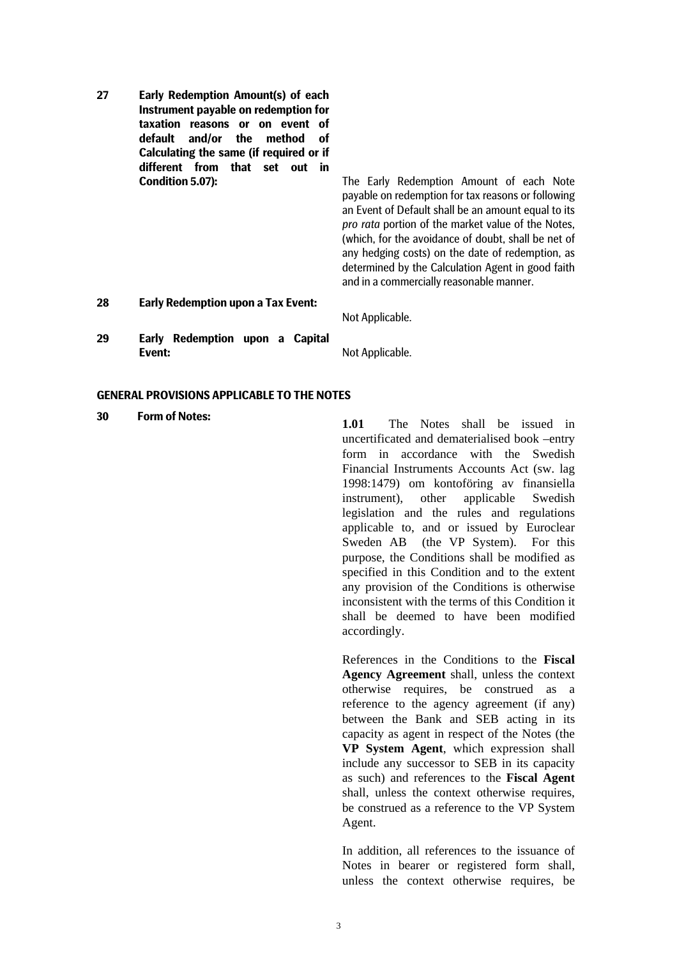**27 Early Redemption Amount(s) of each Instrument payable on redemption for taxation reasons or on event of default and/or the method of Calculating the same (if required or if different from that set out in** 

**Condition 5.07):** The Early Redemption Amount of each Note payable on redemption for tax reasons or following an Event of Default shall be an amount equal to its *pro rata* portion of the market value of the Notes, (which, for the avoidance of doubt, shall be net of any hedging costs) on the date of redemption, as determined by the Calculation Agent in good faith and in a commercially reasonable manner.

**28 Early Redemption upon a Tax Event:** 

Not Applicable.

**29 Early Redemption upon a Capital Event:** Not Applicable.

### **GENERAL PROVISIONS APPLICABLE TO THE NOTES**

**30 Form of Notes: 1.01** The Notes shall be issued in uncertificated and dematerialised book –entry form in accordance with the Swedish Financial Instruments Accounts Act (sw. lag 1998:1479) om kontoföring av finansiella instrument), other applicable Swedish legislation and the rules and regulations applicable to, and or issued by Euroclear Sweden AB (the VP System). For this purpose, the Conditions shall be modified as specified in this Condition and to the extent any provision of the Conditions is otherwise inconsistent with the terms of this Condition it shall be deemed to have been modified accordingly.

> References in the Conditions to the **Fiscal Agency Agreement** shall, unless the context otherwise requires, be construed as a reference to the agency agreement (if any) between the Bank and SEB acting in its capacity as agent in respect of the Notes (the **VP System Agent**, which expression shall include any successor to SEB in its capacity as such) and references to the **Fiscal Agent** shall, unless the context otherwise requires, be construed as a reference to the VP System Agent.

> In addition, all references to the issuance of Notes in bearer or registered form shall, unless the context otherwise requires, be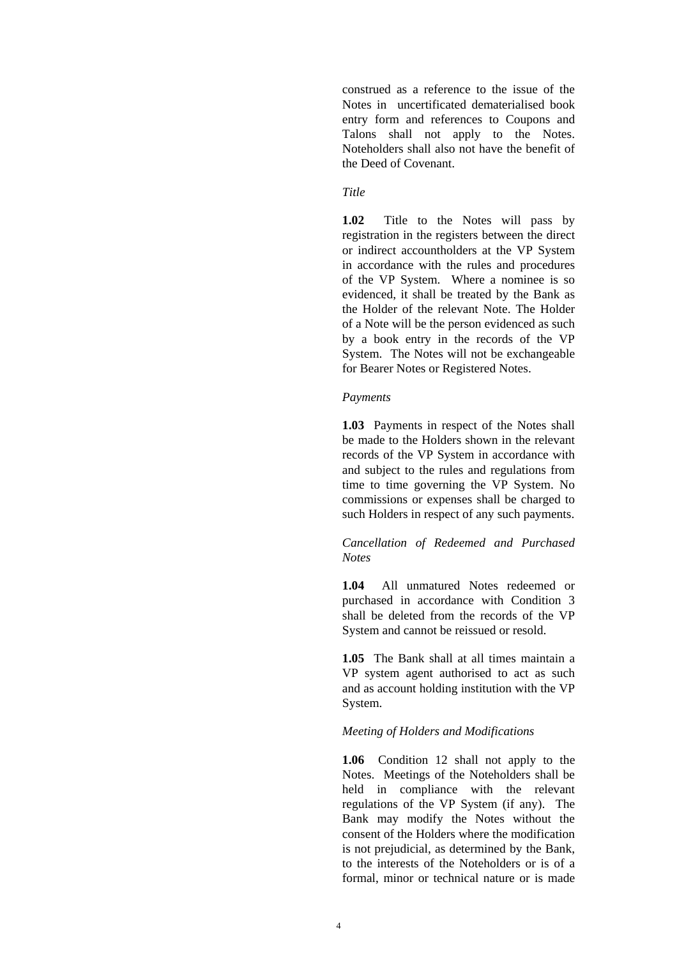construed as a reference to the issue of the Notes in uncertificated dematerialised book entry form and references to Coupons and Talons shall not apply to the Notes. Noteholders shall also not have the benefit of the Deed of Covenant.

## *Title*

**1.02** Title to the Notes will pass by registration in the registers between the direct or indirect accountholders at the VP System in accordance with the rules and procedures of the VP System. Where a nominee is so evidenced, it shall be treated by the Bank as the Holder of the relevant Note. The Holder of a Note will be the person evidenced as such by a book entry in the records of the VP System. The Notes will not be exchangeable for Bearer Notes or Registered Notes.

### *Payments*

**1.03** Payments in respect of the Notes shall be made to the Holders shown in the relevant records of the VP System in accordance with and subject to the rules and regulations from time to time governing the VP System. No commissions or expenses shall be charged to such Holders in respect of any such payments.

## *Cancellation of Redeemed and Purchased Notes*

**1.04** All unmatured Notes redeemed or purchased in accordance with Condition 3 shall be deleted from the records of the VP System and cannot be reissued or resold.

**1.05** The Bank shall at all times maintain a VP system agent authorised to act as such and as account holding institution with the VP System.

## *Meeting of Holders and Modifications*

**1.06** Condition 12 shall not apply to the Notes. Meetings of the Noteholders shall be held in compliance with the relevant regulations of the VP System (if any). The Bank may modify the Notes without the consent of the Holders where the modification is not prejudicial, as determined by the Bank, to the interests of the Noteholders or is of a formal, minor or technical nature or is made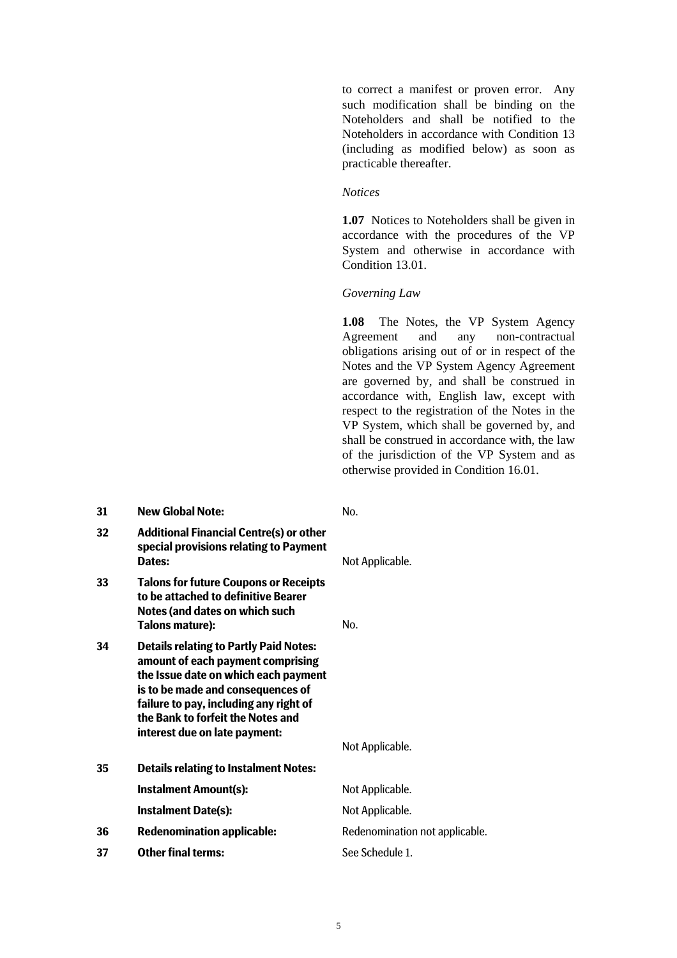to correct a manifest or proven error. Any such modification shall be binding on the Noteholders and shall be notified to the Noteholders in accordance with Condition 13 (including as modified below) as soon as practicable thereafter.

### *Notices*

**1.07** Notices to Noteholders shall be given in accordance with the procedures of the VP System and otherwise in accordance with Condition 13.01.

## *Governing Law*

**1.08** The Notes, the VP System Agency Agreement and any non-contractual obligations arising out of or in respect of the Notes and the VP System Agency Agreement are governed by, and shall be construed in accordance with, English law, except with respect to the registration of the Notes in the VP System, which shall be governed by, and shall be construed in accordance with, the law of the jurisdiction of the VP System and as otherwise provided in Condition 16.01.

| 31 | <b>New Global Note:</b>                                                                                                                                                                                                                                                         | No.                            |
|----|---------------------------------------------------------------------------------------------------------------------------------------------------------------------------------------------------------------------------------------------------------------------------------|--------------------------------|
| 32 | <b>Additional Financial Centre(s) or other</b><br>special provisions relating to Payment<br>Dates:                                                                                                                                                                              | Not Applicable.                |
| 33 | <b>Talons for future Coupons or Receipts</b><br>to be attached to definitive Bearer<br>Notes (and dates on which such<br>Talons mature):                                                                                                                                        | No.                            |
| 34 | <b>Details relating to Partly Paid Notes:</b><br>amount of each payment comprising<br>the Issue date on which each payment<br>is to be made and consequences of<br>failure to pay, including any right of<br>the Bank to forfeit the Notes and<br>interest due on late payment: | Not Applicable.                |
| 35 | <b>Details relating to Instalment Notes:</b>                                                                                                                                                                                                                                    |                                |
|    | <b>Instalment Amount(s):</b>                                                                                                                                                                                                                                                    | Not Applicable.                |
|    | <b>Instalment Date(s):</b>                                                                                                                                                                                                                                                      | Not Applicable.                |
| 36 | <b>Redenomination applicable:</b>                                                                                                                                                                                                                                               | Redenomination not applicable. |
| 37 | <b>Other final terms:</b>                                                                                                                                                                                                                                                       | See Schedule 1.                |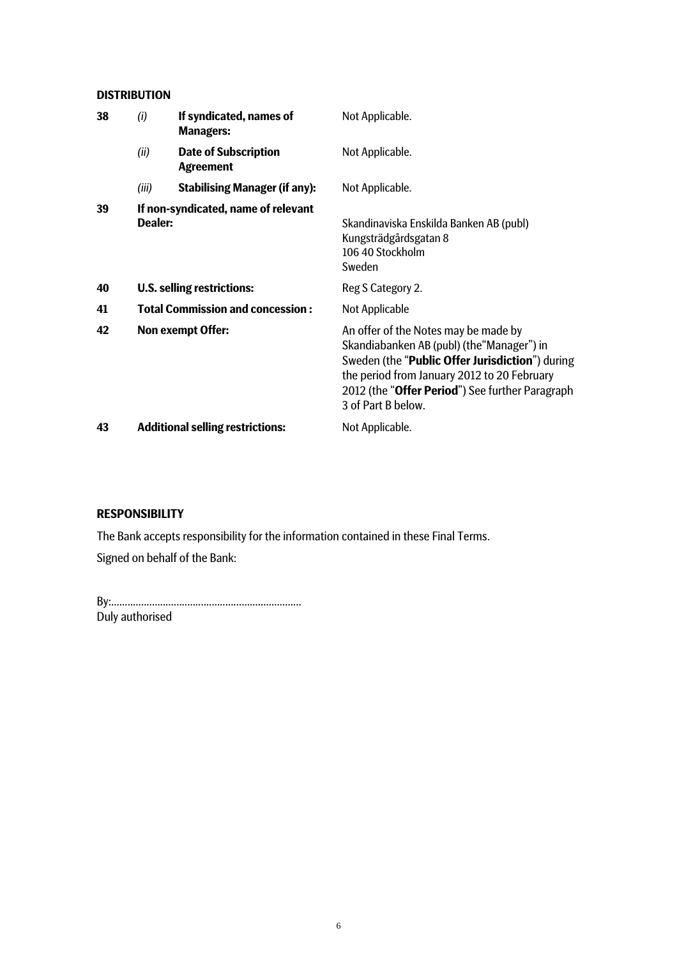# **DISTRIBUTION**

| 38 | (i)     | If syndicated, names of<br><b>Managers:</b>     | Not Applicable.                                                                                                                                                                                                                                                        |
|----|---------|-------------------------------------------------|------------------------------------------------------------------------------------------------------------------------------------------------------------------------------------------------------------------------------------------------------------------------|
|    | (ii)    | <b>Date of Subscription</b><br><b>Agreement</b> | Not Applicable.                                                                                                                                                                                                                                                        |
|    | (iii)   | <b>Stabilising Manager (if any):</b>            | Not Applicable.                                                                                                                                                                                                                                                        |
| 39 | Dealer: | If non-syndicated, name of relevant             | Skandinaviska Enskilda Banken AB (publ)<br>Kungsträdgårdsgatan 8<br>106 40 Stockholm<br>Sweden                                                                                                                                                                         |
| 40 |         | U.S. selling restrictions:                      | Reg S Category 2.                                                                                                                                                                                                                                                      |
| 41 |         | <b>Total Commission and concession:</b>         | Not Applicable                                                                                                                                                                                                                                                         |
| 42 |         | <b>Non exempt Offer:</b>                        | An offer of the Notes may be made by<br>Skandiabanken AB (publ) (the "Manager") in<br>Sweden (the "Public Offer Jurisdiction") during<br>the period from January 2012 to 20 February<br>2012 (the " <b>Offer Period</b> ") See further Paragraph<br>3 of Part B below. |
| 43 |         | <b>Additional selling restrictions:</b>         | Not Applicable.                                                                                                                                                                                                                                                        |

# **RESPONSIBILITY**

The Bank accepts responsibility for the information contained in these Final Terms. Signed on behalf of the Bank:

By:...................................................................... Duly authorised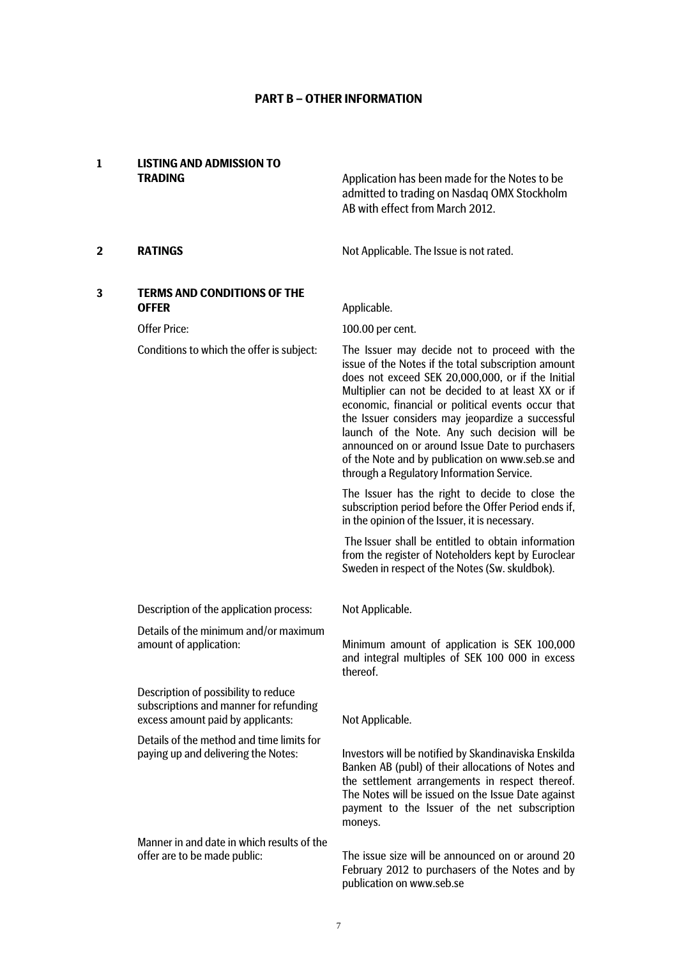# **PART B – OTHER INFORMATION**

# **1 LISTING AND ADMISSION TO**

**TRADING CONSIDER Application has been made for the Notes to be** admitted to trading on Nasdaq OMX Stockholm AB with effect from March 2012.

**2 RATINGS RATINGS Not Applicable. The Issue is not rated.** 

# **3 TERMS AND CONDITIONS OF THE OFFER** Applicable.

Offer Price: 100.00 per cent.

Details of the minimum and/or maximum

Description of possibility to reduce subscriptions and manner for refunding excess amount paid by applicants: Not Applicable.

Details of the method and time limits for paying up and delivering the Notes:

Manner in and date in which results of the

Conditions to which the offer is subject: The Issuer may decide not to proceed with the issue of the Notes if the total subscription amount does not exceed SEK 20,000,000, or if the Initial Multiplier can not be decided to at least XX or if economic, financial or political events occur that the Issuer considers may jeopardize a successful launch of the Note. Any such decision will be announced on or around Issue Date to purchasers of the Note and by publication on www.seb.se and through a Regulatory Information Service.

> The Issuer has the right to decide to close the subscription period before the Offer Period ends if, in the opinion of the Issuer, it is necessary.

> The Issuer shall be entitled to obtain information from the register of Noteholders kept by Euroclear Sweden in respect of the Notes (Sw. skuldbok).

Description of the application process: Not Applicable.

Minimum amount of application is SEK 100,000 and integral multiples of SEK 100 000 in excess thereof.

Investors will be notified by Skandinaviska Enskilda Banken AB (publ) of their allocations of Notes and the settlement arrangements in respect thereof. The Notes will be issued on the Issue Date against payment to the Issuer of the net subscription moneys.

offer are to be made public: The issue size will be announced on or around 20 February 2012 to purchasers of the Notes and by publication on www.seb.se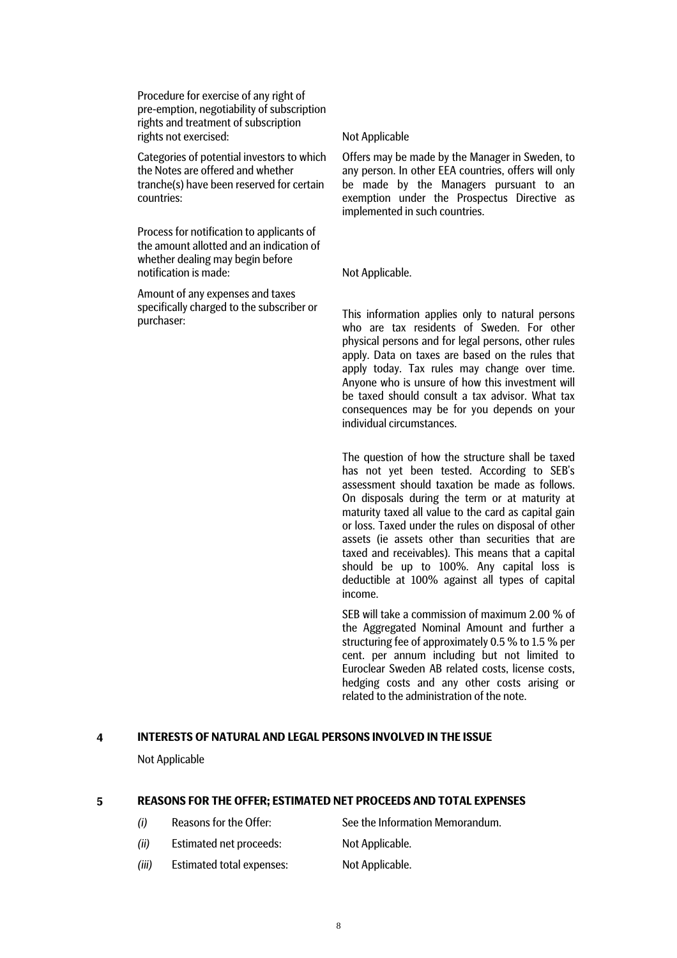Procedure for exercise of any right of pre-emption, negotiability of subscription rights and treatment of subscription rights not exercised: Not Applicable

Categories of potential investors to which the Notes are offered and whether tranche(s) have been reserved for certain countries:

Process for notification to applicants of the amount allotted and an indication of whether dealing may begin before notification is made: Not Applicable.

Amount of any expenses and taxes specifically charged to the subscriber or

Offers may be made by the Manager in Sweden, to any person. In other EEA countries, offers will only be made by the Managers pursuant to an exemption under the Prospectus Directive as implemented in such countries.

specifically charged to the subscriber of This information applies only to natural persons purchaser: who are tax residents of Sweden. For other physical persons and for legal persons, other rules apply. Data on taxes are based on the rules that apply today. Tax rules may change over time. Anyone who is unsure of how this investment will be taxed should consult a tax advisor. What tax consequences may be for you depends on your individual circumstances.

> The question of how the structure shall be taxed has not yet been tested. According to SEB's assessment should taxation be made as follows. On disposals during the term or at maturity at maturity taxed all value to the card as capital gain or loss. Taxed under the rules on disposal of other assets (ie assets other than securities that are taxed and receivables). This means that a capital should be up to 100%. Any capital loss is deductible at 100% against all types of capital income.

> SEB will take a commission of maximum 2.00 % of the Aggregated Nominal Amount and further a structuring fee of approximately 0.5 % to 1.5 % per cent. per annum including but not limited to Euroclear Sweden AB related costs, license costs, hedging costs and any other costs arising or related to the administration of the note.

### **4 INTERESTS OF NATURAL AND LEGAL PERSONS INVOLVED IN THE ISSUE**

Not Applicable

### **5 REASONS FOR THE OFFER; ESTIMATED NET PROCEEDS AND TOTAL EXPENSES**

| (i)   | Reasons for the Offer:           | See the Information Memorandum. |
|-------|----------------------------------|---------------------------------|
| (ii)  | Estimated net proceeds:          | Not Applicable.                 |
| (iii) | <b>Estimated total expenses:</b> | Not Applicable.                 |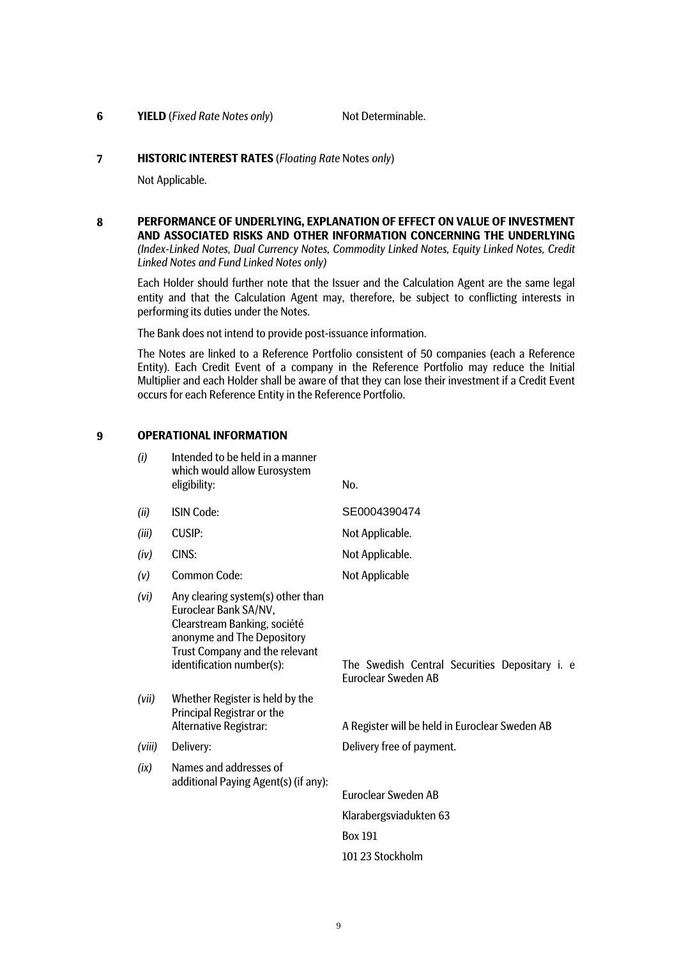### **6 YIELD** (*Fixed Rate Notes only*) Not Determinable.

### **7 HISTORIC INTEREST RATES** (*Floating Rate* Notes *only*)

Not Applicable.

**8 PERFORMANCE OF UNDERLYING, EXPLANATION OF EFFECT ON VALUE OF INVESTMENT AND ASSOCIATED RISKS AND OTHER INFORMATION CONCERNING THE UNDERLYING** *(Index-Linked Notes, Dual Currency Notes, Commodity Linked Notes, Equity Linked Notes, Credit Linked Notes and Fund Linked Notes only)*

 Each Holder should further note that the Issuer and the Calculation Agent are the same legal entity and that the Calculation Agent may, therefore, be subject to conflicting interests in performing its duties under the Notes.

The Bank does not intend to provide post-issuance information.

The Notes are linked to a Reference Portfolio consistent of 50 companies (each a Reference Entity). Each Credit Event of a company in the Reference Portfolio may reduce the Initial Multiplier and each Holder shall be aware of that they can lose their investment if a Credit Event occurs for each Reference Entity in the Reference Portfolio.

### **9 OPERATIONAL INFORMATION**

| (i)    | Intended to be held in a manner<br>which would allow Eurosystem<br>eligibility:                                                                                                         | No.                                                                          |
|--------|-----------------------------------------------------------------------------------------------------------------------------------------------------------------------------------------|------------------------------------------------------------------------------|
| (ii)   | <b>ISIN Code:</b>                                                                                                                                                                       | SE0004390474                                                                 |
| (iii)  | <b>CUSIP:</b>                                                                                                                                                                           | Not Applicable.                                                              |
| (iv)   | CINS:                                                                                                                                                                                   | Not Applicable.                                                              |
| (v)    | <b>Common Code:</b>                                                                                                                                                                     | <b>Not Applicable</b>                                                        |
| (vi)   | Any clearing system(s) other than<br>Euroclear Bank SA/NV,<br>Clearstream Banking, société<br>anonyme and The Depository<br>Trust Company and the relevant<br>identification number(s): | The Swedish Central Securities Depositary i. e<br><b>Euroclear Sweden AB</b> |
| (vii)  | Whether Register is held by the<br>Principal Registrar or the<br>Alternative Registrar:                                                                                                 | A Register will be held in Euroclear Sweden AB                               |
| (viii) | Delivery:                                                                                                                                                                               | Delivery free of payment.                                                    |
| (ix)   | Names and addresses of<br>additional Paying Agent(s) (if any):                                                                                                                          |                                                                              |
|        |                                                                                                                                                                                         | <b>Euroclear Sweden AB</b>                                                   |
|        |                                                                                                                                                                                         | Klarabergsviadukten 63                                                       |
|        |                                                                                                                                                                                         | <b>Box 191</b>                                                               |
|        |                                                                                                                                                                                         | 101 23 Stockholm                                                             |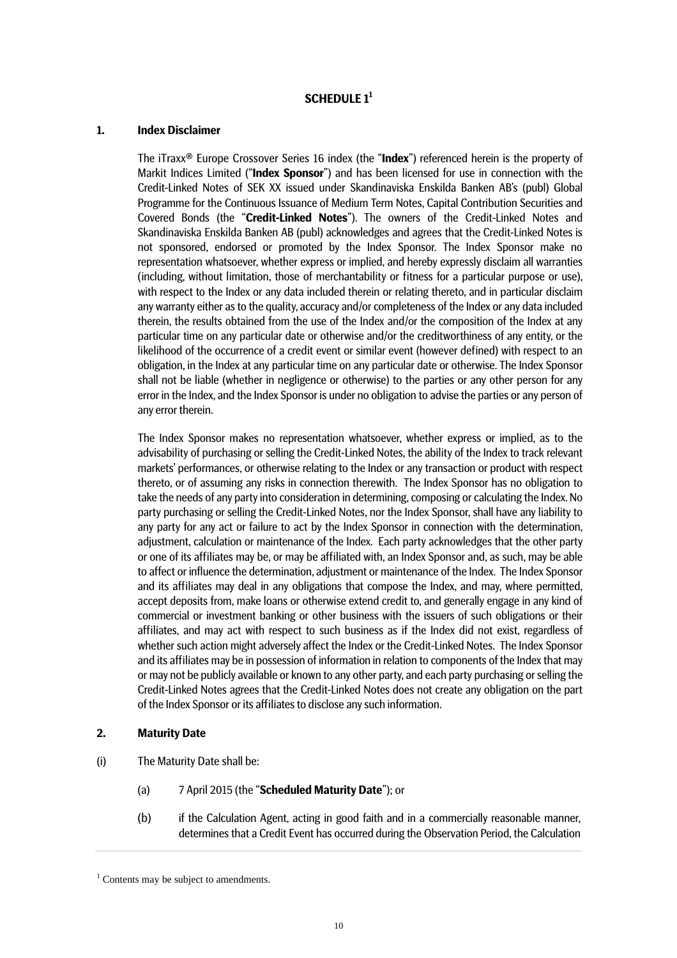# **SCHEDULE 1<sup>1</sup>**

### **1. Index Disclaimer**

The iTraxx® Europe Crossover Series 16 index (the "**Index**") referenced herein is the property of Markit Indices Limited ("**Index Sponsor**") and has been licensed for use in connection with the Credit-Linked Notes of SEK XX issued under Skandinaviska Enskilda Banken AB's (publ) Global Programme for the Continuous Issuance of Medium Term Notes, Capital Contribution Securities and Covered Bonds (the "**Credit-Linked Notes**"). The owners of the Credit-Linked Notes and Skandinaviska Enskilda Banken AB (publ) acknowledges and agrees that the Credit-Linked Notes is not sponsored, endorsed or promoted by the Index Sponsor. The Index Sponsor make no representation whatsoever, whether express or implied, and hereby expressly disclaim all warranties (including, without limitation, those of merchantability or fitness for a particular purpose or use), with respect to the Index or any data included therein or relating thereto, and in particular disclaim any warranty either as to the quality, accuracy and/or completeness of the Index or any data included therein, the results obtained from the use of the Index and/or the composition of the Index at any particular time on any particular date or otherwise and/or the creditworthiness of any entity, or the likelihood of the occurrence of a credit event or similar event (however defined) with respect to an obligation, in the Index at any particular time on any particular date or otherwise. The Index Sponsor shall not be liable (whether in negligence or otherwise) to the parties or any other person for any error in the Index, and the Index Sponsor is under no obligation to advise the parties or any person of any error therein.

The Index Sponsor makes no representation whatsoever, whether express or implied, as to the advisability of purchasing or selling the Credit-Linked Notes, the ability of the Index to track relevant markets' performances, or otherwise relating to the Index or any transaction or product with respect thereto, or of assuming any risks in connection therewith. The Index Sponsor has no obligation to take the needs of any party into consideration in determining, composing or calculating the Index. No party purchasing or selling the Credit-Linked Notes, nor the Index Sponsor, shall have any liability to any party for any act or failure to act by the Index Sponsor in connection with the determination, adjustment, calculation or maintenance of the Index. Each party acknowledges that the other party or one of its affiliates may be, or may be affiliated with, an Index Sponsor and, as such, may be able to affect or influence the determination, adjustment or maintenance of the Index. The Index Sponsor and its affiliates may deal in any obligations that compose the Index, and may, where permitted, accept deposits from, make loans or otherwise extend credit to, and generally engage in any kind of commercial or investment banking or other business with the issuers of such obligations or their affiliates, and may act with respect to such business as if the Index did not exist, regardless of whether such action might adversely affect the Index or the Credit-Linked Notes. The Index Sponsor and its affiliates may be in possession of information in relation to components of the Index that may or may not be publicly available or known to any other party, and each party purchasing or selling the Credit-Linked Notes agrees that the Credit-Linked Notes does not create any obligation on the part of the Index Sponsor or its affiliates to disclose any such information.

### **2. Maturity Date**

- (i) The Maturity Date shall be:
	- (a) 7 April 2015 (the "**Scheduled Maturity Date**"); or
	- (b) if the Calculation Agent, acting in good faith and in a commercially reasonable manner, determines that a Credit Event has occurred during the Observation Period, the Calculation

<sup>&</sup>lt;sup>1</sup> Contents may be subject to amendments.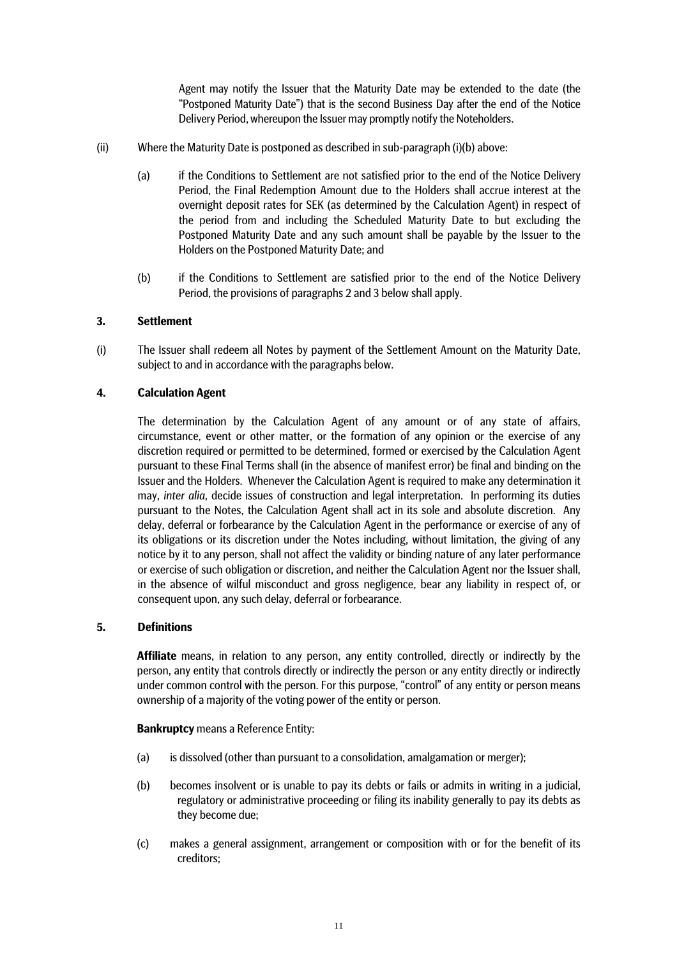Agent may notify the Issuer that the Maturity Date may be extended to the date (the "Postponed Maturity Date") that is the second Business Day after the end of the Notice Delivery Period, whereupon the Issuer may promptly notify the Noteholders.

- (ii) Where the Maturity Date is postponed as described in sub-paragraph (i)(b) above:
	- (a) if the Conditions to Settlement are not satisfied prior to the end of the Notice Delivery Period, the Final Redemption Amount due to the Holders shall accrue interest at the overnight deposit rates for SEK (as determined by the Calculation Agent) in respect of the period from and including the Scheduled Maturity Date to but excluding the Postponed Maturity Date and any such amount shall be payable by the Issuer to the Holders on the Postponed Maturity Date; and
	- (b) if the Conditions to Settlement are satisfied prior to the end of the Notice Delivery Period, the provisions of paragraphs 2 and 3 below shall apply.

## **3. Settlement**

(i) The Issuer shall redeem all Notes by payment of the Settlement Amount on the Maturity Date, subject to and in accordance with the paragraphs below.

# **4. Calculation Agent**

The determination by the Calculation Agent of any amount or of any state of affairs, circumstance, event or other matter, or the formation of any opinion or the exercise of any discretion required or permitted to be determined, formed or exercised by the Calculation Agent pursuant to these Final Terms shall (in the absence of manifest error) be final and binding on the Issuer and the Holders. Whenever the Calculation Agent is required to make any determination it may, *inter alia*, decide issues of construction and legal interpretation. In performing its duties pursuant to the Notes, the Calculation Agent shall act in its sole and absolute discretion. Any delay, deferral or forbearance by the Calculation Agent in the performance or exercise of any of its obligations or its discretion under the Notes including, without limitation, the giving of any notice by it to any person, shall not affect the validity or binding nature of any later performance or exercise of such obligation or discretion, and neither the Calculation Agent nor the Issuer shall, in the absence of wilful misconduct and gross negligence, bear any liability in respect of, or consequent upon, any such delay, deferral or forbearance.

## **5. Definitions**

**Affiliate** means, in relation to any person, any entity controlled, directly or indirectly by the person, any entity that controls directly or indirectly the person or any entity directly or indirectly under common control with the person. For this purpose, "control" of any entity or person means ownership of a majority of the voting power of the entity or person.

**Bankruptcy** means a Reference Entity:

- (a) is dissolved (other than pursuant to a consolidation, amalgamation or merger);
- (b) becomes insolvent or is unable to pay its debts or fails or admits in writing in a judicial, regulatory or administrative proceeding or filing its inability generally to pay its debts as they become due;
- (c) makes a general assignment, arrangement or composition with or for the benefit of its creditors;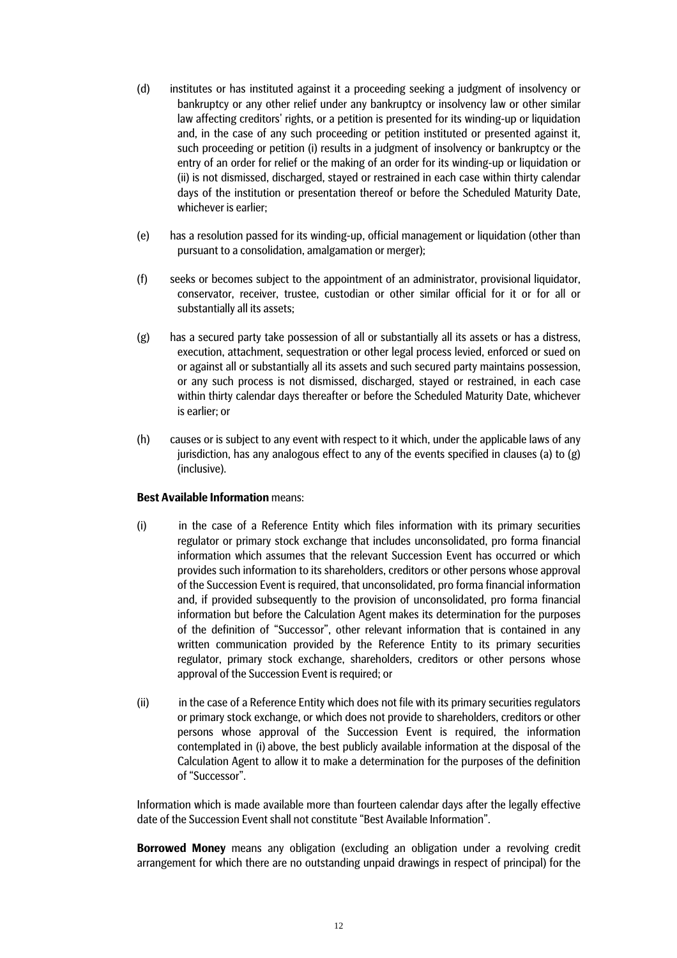- (d) institutes or has instituted against it a proceeding seeking a judgment of insolvency or bankruptcy or any other relief under any bankruptcy or insolvency law or other similar law affecting creditors' rights, or a petition is presented for its winding-up or liquidation and, in the case of any such proceeding or petition instituted or presented against it, such proceeding or petition (i) results in a judgment of insolvency or bankruptcy or the entry of an order for relief or the making of an order for its winding-up or liquidation or (ii) is not dismissed, discharged, stayed or restrained in each case within thirty calendar days of the institution or presentation thereof or before the Scheduled Maturity Date, whichever is earlier;
- (e) has a resolution passed for its winding-up, official management or liquidation (other than pursuant to a consolidation, amalgamation or merger);
- (f) seeks or becomes subject to the appointment of an administrator, provisional liquidator, conservator, receiver, trustee, custodian or other similar official for it or for all or substantially all its assets;
- (g) has a secured party take possession of all or substantially all its assets or has a distress, execution, attachment, sequestration or other legal process levied, enforced or sued on or against all or substantially all its assets and such secured party maintains possession, or any such process is not dismissed, discharged, stayed or restrained, in each case within thirty calendar days thereafter or before the Scheduled Maturity Date, whichever is earlier; or
- (h) causes or is subject to any event with respect to it which, under the applicable laws of any jurisdiction, has any analogous effect to any of the events specified in clauses (a) to (g) (inclusive).

## **Best Available Information** means:

- (i) in the case of a Reference Entity which files information with its primary securities regulator or primary stock exchange that includes unconsolidated, pro forma financial information which assumes that the relevant Succession Event has occurred or which provides such information to its shareholders, creditors or other persons whose approval of the Succession Event is required, that unconsolidated, pro forma financial information and, if provided subsequently to the provision of unconsolidated, pro forma financial information but before the Calculation Agent makes its determination for the purposes of the definition of "Successor", other relevant information that is contained in any written communication provided by the Reference Entity to its primary securities regulator, primary stock exchange, shareholders, creditors or other persons whose approval of the Succession Event is required; or
- (ii) in the case of a Reference Entity which does not file with its primary securities regulators or primary stock exchange, or which does not provide to shareholders, creditors or other persons whose approval of the Succession Event is required, the information contemplated in (i) above, the best publicly available information at the disposal of the Calculation Agent to allow it to make a determination for the purposes of the definition of "Successor".

Information which is made available more than fourteen calendar days after the legally effective date of the Succession Event shall not constitute "Best Available Information".

**Borrowed Money** means any obligation (excluding an obligation under a revolving credit arrangement for which there are no outstanding unpaid drawings in respect of principal) for the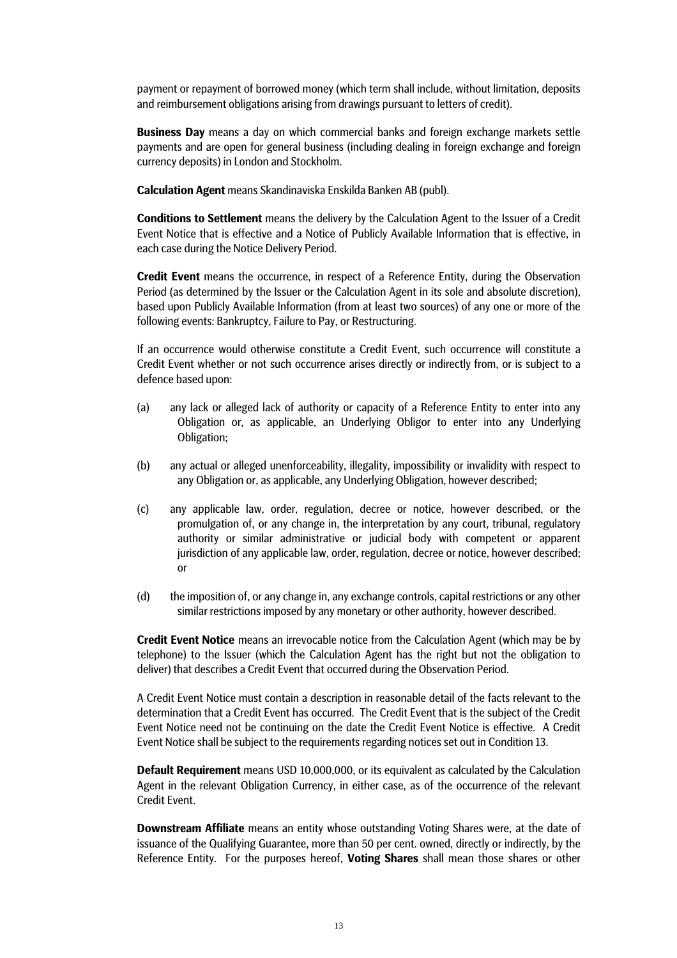payment or repayment of borrowed money (which term shall include, without limitation, deposits and reimbursement obligations arising from drawings pursuant to letters of credit).

**Business Day** means a day on which commercial banks and foreign exchange markets settle payments and are open for general business (including dealing in foreign exchange and foreign currency deposits) in London and Stockholm.

**Calculation Agent** means Skandinaviska Enskilda Banken AB (publ).

**Conditions to Settlement** means the delivery by the Calculation Agent to the Issuer of a Credit Event Notice that is effective and a Notice of Publicly Available Information that is effective, in each case during the Notice Delivery Period.

**Credit Event** means the occurrence, in respect of a Reference Entity, during the Observation Period (as determined by the Issuer or the Calculation Agent in its sole and absolute discretion), based upon Publicly Available Information (from at least two sources) of any one or more of the following events: Bankruptcy, Failure to Pay, or Restructuring.

If an occurrence would otherwise constitute a Credit Event, such occurrence will constitute a Credit Event whether or not such occurrence arises directly or indirectly from, or is subject to a defence based upon:

- (a) any lack or alleged lack of authority or capacity of a Reference Entity to enter into any Obligation or, as applicable, an Underlying Obligor to enter into any Underlying Obligation;
- (b) any actual or alleged unenforceability, illegality, impossibility or invalidity with respect to any Obligation or, as applicable, any Underlying Obligation, however described;
- (c) any applicable law, order, regulation, decree or notice, however described, or the promulgation of, or any change in, the interpretation by any court, tribunal, regulatory authority or similar administrative or judicial body with competent or apparent jurisdiction of any applicable law, order, regulation, decree or notice, however described; or
- (d) the imposition of, or any change in, any exchange controls, capital restrictions or any other similar restrictions imposed by any monetary or other authority, however described.

**Credit Event Notice** means an irrevocable notice from the Calculation Agent (which may be by telephone) to the Issuer (which the Calculation Agent has the right but not the obligation to deliver) that describes a Credit Event that occurred during the Observation Period.

A Credit Event Notice must contain a description in reasonable detail of the facts relevant to the determination that a Credit Event has occurred. The Credit Event that is the subject of the Credit Event Notice need not be continuing on the date the Credit Event Notice is effective. A Credit Event Notice shall be subject to the requirements regarding notices set out in Condition 13.

**Default Requirement** means USD 10,000,000, or its equivalent as calculated by the Calculation Agent in the relevant Obligation Currency, in either case, as of the occurrence of the relevant Credit Event.

**Downstream Affiliate** means an entity whose outstanding Voting Shares were, at the date of issuance of the Qualifying Guarantee, more than 50 per cent. owned, directly or indirectly, by the Reference Entity. For the purposes hereof, **Voting Shares** shall mean those shares or other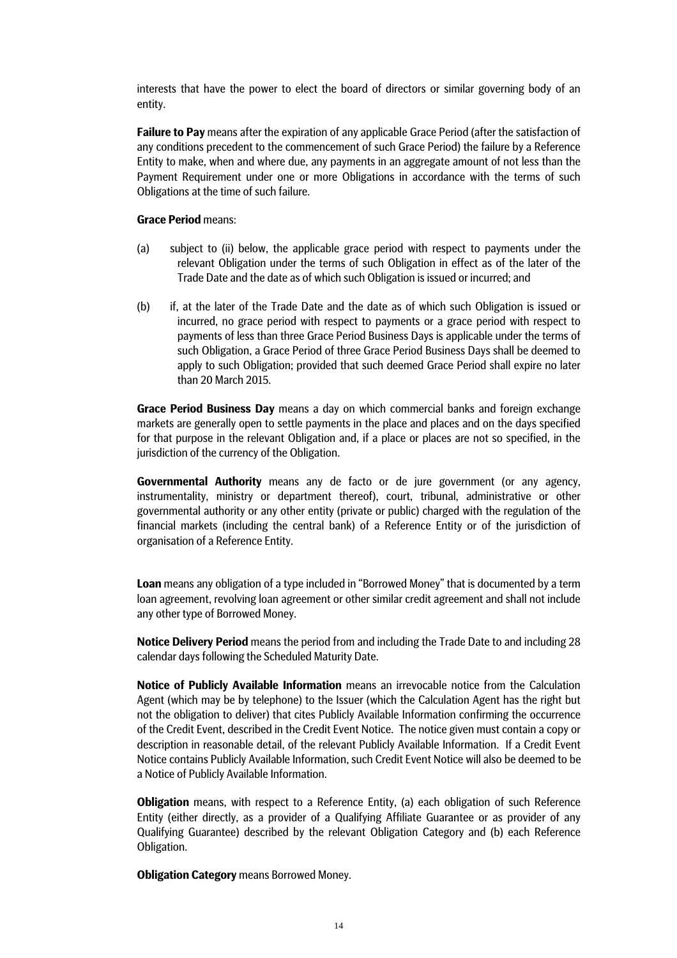interests that have the power to elect the board of directors or similar governing body of an entity.

**Failure to Pay** means after the expiration of any applicable Grace Period (after the satisfaction of any conditions precedent to the commencement of such Grace Period) the failure by a Reference Entity to make, when and where due, any payments in an aggregate amount of not less than the Payment Requirement under one or more Obligations in accordance with the terms of such Obligations at the time of such failure.

### **Grace Period** means:

- (a) subject to (ii) below, the applicable grace period with respect to payments under the relevant Obligation under the terms of such Obligation in effect as of the later of the Trade Date and the date as of which such Obligation is issued or incurred; and
- (b) if, at the later of the Trade Date and the date as of which such Obligation is issued or incurred, no grace period with respect to payments or a grace period with respect to payments of less than three Grace Period Business Days is applicable under the terms of such Obligation, a Grace Period of three Grace Period Business Days shall be deemed to apply to such Obligation; provided that such deemed Grace Period shall expire no later than 20 March 2015.

**Grace Period Business Day** means a day on which commercial banks and foreign exchange markets are generally open to settle payments in the place and places and on the days specified for that purpose in the relevant Obligation and, if a place or places are not so specified, in the jurisdiction of the currency of the Obligation.

**Governmental Authority** means any de facto or de jure government (or any agency, instrumentality, ministry or department thereof), court, tribunal, administrative or other governmental authority or any other entity (private or public) charged with the regulation of the financial markets (including the central bank) of a Reference Entity or of the jurisdiction of organisation of a Reference Entity.

**Loan** means any obligation of a type included in "Borrowed Money" that is documented by a term loan agreement, revolving loan agreement or other similar credit agreement and shall not include any other type of Borrowed Money.

**Notice Delivery Period** means the period from and including the Trade Date to and including 28 calendar days following the Scheduled Maturity Date.

**Notice of Publicly Available Information** means an irrevocable notice from the Calculation Agent (which may be by telephone) to the Issuer (which the Calculation Agent has the right but not the obligation to deliver) that cites Publicly Available Information confirming the occurrence of the Credit Event, described in the Credit Event Notice. The notice given must contain a copy or description in reasonable detail, of the relevant Publicly Available Information. If a Credit Event Notice contains Publicly Available Information, such Credit Event Notice will also be deemed to be a Notice of Publicly Available Information.

**Obligation** means, with respect to a Reference Entity, (a) each obligation of such Reference Entity (either directly, as a provider of a Qualifying Affiliate Guarantee or as provider of any Qualifying Guarantee) described by the relevant Obligation Category and (b) each Reference Obligation.

**Obligation Category** means Borrowed Money.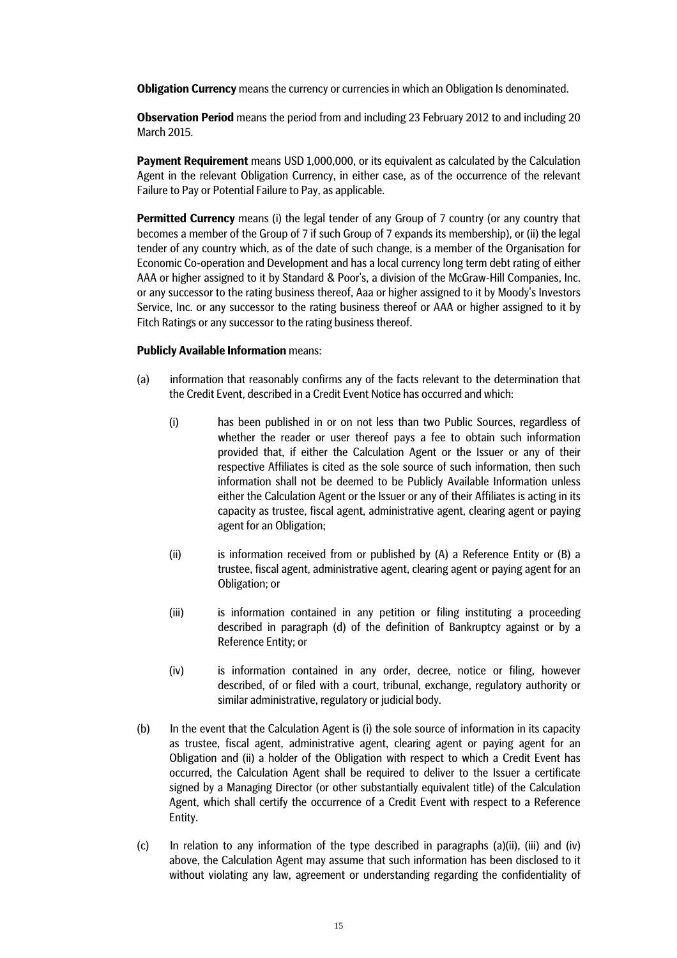**Obligation Currency** means the currency or currencies in which an Obligation Is denominated.

**Observation Period** means the period from and including 23 February 2012 to and including 20 March 2015.

**Payment Requirement** means USD 1,000,000, or its equivalent as calculated by the Calculation Agent in the relevant Obligation Currency, in either case, as of the occurrence of the relevant Failure to Pay or Potential Failure to Pay, as applicable.

**Permitted Currency** means (i) the legal tender of any Group of 7 country (or any country that becomes a member of the Group of 7 if such Group of 7 expands its membership), or (ii) the legal tender of any country which, as of the date of such change, is a member of the Organisation for Economic Co-operation and Development and has a local currency long term debt rating of either AAA or higher assigned to it by Standard & Poor's, a division of the McGraw-Hill Companies, Inc. or any successor to the rating business thereof, Aaa or higher assigned to it by Moody's Investors Service, Inc. or any successor to the rating business thereof or AAA or higher assigned to it by Fitch Ratings or any successor to the rating business thereof.

### **Publicly Available Information** means:

- (a) information that reasonably confirms any of the facts relevant to the determination that the Credit Event, described in a Credit Event Notice has occurred and which:
	- (i) has been published in or on not less than two Public Sources, regardless of whether the reader or user thereof pays a fee to obtain such information provided that, if either the Calculation Agent or the Issuer or any of their respective Affiliates is cited as the sole source of such information, then such information shall not be deemed to be Publicly Available Information unless either the Calculation Agent or the Issuer or any of their Affiliates is acting in its capacity as trustee, fiscal agent, administrative agent, clearing agent or paying agent for an Obligation;
	- (ii) is information received from or published by  $(A)$  a Reference Entity or  $(B)$  a trustee, fiscal agent, administrative agent, clearing agent or paying agent for an Obligation; or
	- (iii) is information contained in any petition or filing instituting a proceeding described in paragraph (d) of the definition of Bankruptcy against or by a Reference Entity; or
	- (iv) is information contained in any order, decree, notice or filing, however described, of or filed with a court, tribunal, exchange, regulatory authority or similar administrative, regulatory or judicial body.
- (b) In the event that the Calculation Agent is (i) the sole source of information in its capacity as trustee, fiscal agent, administrative agent, clearing agent or paying agent for an Obligation and (ii) a holder of the Obligation with respect to which a Credit Event has occurred, the Calculation Agent shall be required to deliver to the Issuer a certificate signed by a Managing Director (or other substantially equivalent title) of the Calculation Agent, which shall certify the occurrence of a Credit Event with respect to a Reference Entity.
- (c) In relation to any information of the type described in paragraphs (a)(ii), (iii) and (iv) above, the Calculation Agent may assume that such information has been disclosed to it without violating any law, agreement or understanding regarding the confidentiality of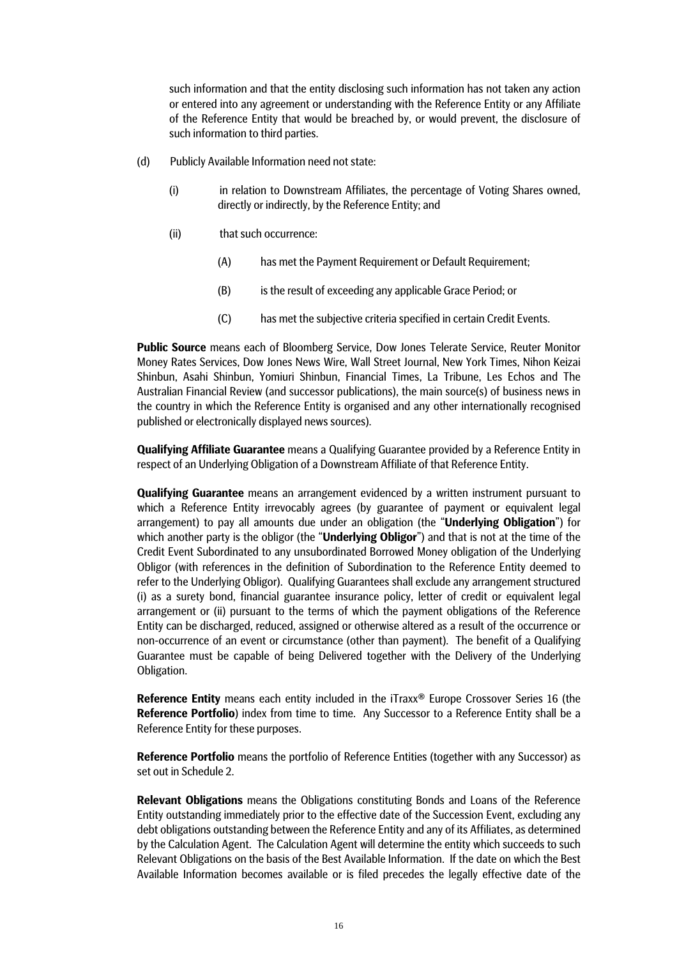such information and that the entity disclosing such information has not taken any action or entered into any agreement or understanding with the Reference Entity or any Affiliate of the Reference Entity that would be breached by, or would prevent, the disclosure of such information to third parties.

- (d) Publicly Available Information need not state:
	- (i) in relation to Downstream Affiliates, the percentage of Voting Shares owned, directly or indirectly, by the Reference Entity; and
	- (ii) that such occurrence:
		- (A) has met the Payment Requirement or Default Requirement;
		- (B) is the result of exceeding any applicable Grace Period; or
		- (C) has met the subjective criteria specified in certain Credit Events.

**Public Source** means each of Bloomberg Service, Dow Jones Telerate Service, Reuter Monitor Money Rates Services, Dow Jones News Wire, Wall Street Journal, New York Times, Nihon Keizai Shinbun, Asahi Shinbun, Yomiuri Shinbun, Financial Times, La Tribune, Les Echos and The Australian Financial Review (and successor publications), the main source(s) of business news in the country in which the Reference Entity is organised and any other internationally recognised published or electronically displayed news sources).

**Qualifying Affiliate Guarantee** means a Qualifying Guarantee provided by a Reference Entity in respect of an Underlying Obligation of a Downstream Affiliate of that Reference Entity.

**Qualifying Guarantee** means an arrangement evidenced by a written instrument pursuant to which a Reference Entity irrevocably agrees (by guarantee of payment or equivalent legal arrangement) to pay all amounts due under an obligation (the "**Underlying Obligation**") for which another party is the obligor (the "**Underlying Obligor**") and that is not at the time of the Credit Event Subordinated to any unsubordinated Borrowed Money obligation of the Underlying Obligor (with references in the definition of Subordination to the Reference Entity deemed to refer to the Underlying Obligor). Qualifying Guarantees shall exclude any arrangement structured (i) as a surety bond, financial guarantee insurance policy, letter of credit or equivalent legal arrangement or (ii) pursuant to the terms of which the payment obligations of the Reference Entity can be discharged, reduced, assigned or otherwise altered as a result of the occurrence or non-occurrence of an event or circumstance (other than payment). The benefit of a Qualifying Guarantee must be capable of being Delivered together with the Delivery of the Underlying Obligation.

**Reference Entity** means each entity included in the iTraxx<sup>®</sup> Europe Crossover Series 16 (the **Reference Portfolio**) index from time to time. Any Successor to a Reference Entity shall be a Reference Entity for these purposes.

**Reference Portfolio** means the portfolio of Reference Entities (together with any Successor) as set out in Schedule 2.

**Relevant Obligations** means the Obligations constituting Bonds and Loans of the Reference Entity outstanding immediately prior to the effective date of the Succession Event, excluding any debt obligations outstanding between the Reference Entity and any of its Affiliates, as determined by the Calculation Agent. The Calculation Agent will determine the entity which succeeds to such Relevant Obligations on the basis of the Best Available Information. If the date on which the Best Available Information becomes available or is filed precedes the legally effective date of the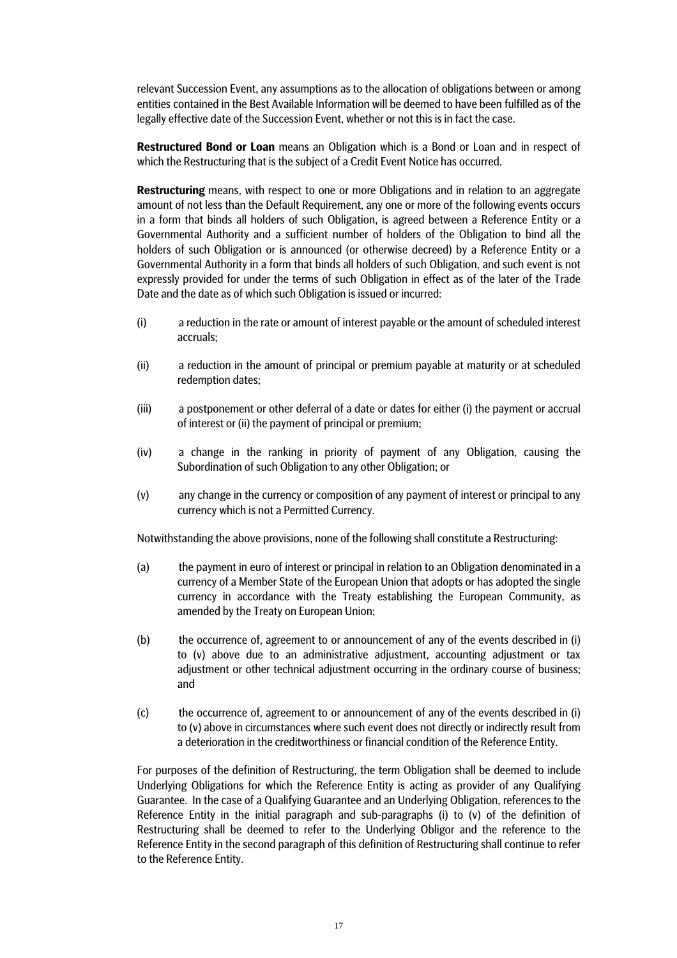relevant Succession Event, any assumptions as to the allocation of obligations between or among entities contained in the Best Available Information will be deemed to have been fulfilled as of the legally effective date of the Succession Event, whether or not this is in fact the case.

**Restructured Bond or Loan** means an Obligation which is a Bond or Loan and in respect of which the Restructuring that is the subject of a Credit Event Notice has occurred.

**Restructuring** means, with respect to one or more Obligations and in relation to an aggregate amount of not less than the Default Requirement, any one or more of the following events occurs in a form that binds all holders of such Obligation, is agreed between a Reference Entity or a Governmental Authority and a sufficient number of holders of the Obligation to bind all the holders of such Obligation or is announced (or otherwise decreed) by a Reference Entity or a Governmental Authority in a form that binds all holders of such Obligation, and such event is not expressly provided for under the terms of such Obligation in effect as of the later of the Trade Date and the date as of which such Obligation is issued or incurred:

- (i) a reduction in the rate or amount of interest payable or the amount of scheduled interest accruals;
- (ii) a reduction in the amount of principal or premium payable at maturity or at scheduled redemption dates;
- (iii) a postponement or other deferral of a date or dates for either (i) the payment or accrual of interest or (ii) the payment of principal or premium;
- (iv) a change in the ranking in priority of payment of any Obligation, causing the Subordination of such Obligation to any other Obligation; or
- (v) any change in the currency or composition of any payment of interest or principal to any currency which is not a Permitted Currency.

Notwithstanding the above provisions, none of the following shall constitute a Restructuring:

- (a) the payment in euro of interest or principal in relation to an Obligation denominated in a currency of a Member State of the European Union that adopts or has adopted the single currency in accordance with the Treaty establishing the European Community, as amended by the Treaty on European Union;
- (b) the occurrence of, agreement to or announcement of any of the events described in (i) to (v) above due to an administrative adjustment, accounting adjustment or tax adjustment or other technical adjustment occurring in the ordinary course of business; and
- (c) the occurrence of, agreement to or announcement of any of the events described in (i) to (v) above in circumstances where such event does not directly or indirectly result from a deterioration in the creditworthiness or financial condition of the Reference Entity.

For purposes of the definition of Restructuring, the term Obligation shall be deemed to include Underlying Obligations for which the Reference Entity is acting as provider of any Qualifying Guarantee. In the case of a Qualifying Guarantee and an Underlying Obligation, references to the Reference Entity in the initial paragraph and sub-paragraphs (i) to (v) of the definition of Restructuring shall be deemed to refer to the Underlying Obligor and the reference to the Reference Entity in the second paragraph of this definition of Restructuring shall continue to refer to the Reference Entity.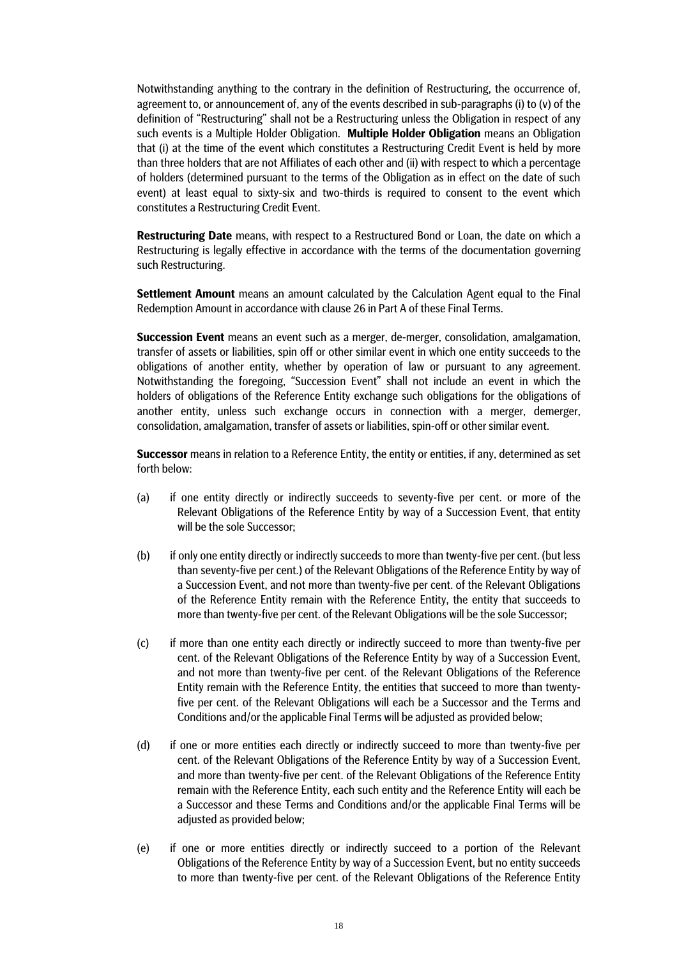Notwithstanding anything to the contrary in the definition of Restructuring, the occurrence of, agreement to, or announcement of, any of the events described in sub-paragraphs (i) to (v) of the definition of "Restructuring" shall not be a Restructuring unless the Obligation in respect of any such events is a Multiple Holder Obligation. **Multiple Holder Obligation** means an Obligation that (i) at the time of the event which constitutes a Restructuring Credit Event is held by more than three holders that are not Affiliates of each other and (ii) with respect to which a percentage of holders (determined pursuant to the terms of the Obligation as in effect on the date of such event) at least equal to sixty-six and two-thirds is required to consent to the event which constitutes a Restructuring Credit Event.

**Restructuring Date** means, with respect to a Restructured Bond or Loan, the date on which a Restructuring is legally effective in accordance with the terms of the documentation governing such Restructuring.

**Settlement Amount** means an amount calculated by the Calculation Agent equal to the Final Redemption Amount in accordance with clause 26 in Part A of these Final Terms.

**Succession Event** means an event such as a merger, de-merger, consolidation, amalgamation, transfer of assets or liabilities, spin off or other similar event in which one entity succeeds to the obligations of another entity, whether by operation of law or pursuant to any agreement. Notwithstanding the foregoing, "Succession Event" shall not include an event in which the holders of obligations of the Reference Entity exchange such obligations for the obligations of another entity, unless such exchange occurs in connection with a merger, demerger, consolidation, amalgamation, transfer of assets or liabilities, spin-off or other similar event.

**Successor** means in relation to a Reference Entity, the entity or entities, if any, determined as set forth below:

- (a) if one entity directly or indirectly succeeds to seventy-five per cent. or more of the Relevant Obligations of the Reference Entity by way of a Succession Event, that entity will be the sole Successor;
- (b) if only one entity directly or indirectly succeeds to more than twenty-five per cent. (but less than seventy-five per cent.) of the Relevant Obligations of the Reference Entity by way of a Succession Event, and not more than twenty-five per cent. of the Relevant Obligations of the Reference Entity remain with the Reference Entity, the entity that succeeds to more than twenty-five per cent. of the Relevant Obligations will be the sole Successor;
- (c) if more than one entity each directly or indirectly succeed to more than twenty-five per cent. of the Relevant Obligations of the Reference Entity by way of a Succession Event, and not more than twenty-five per cent. of the Relevant Obligations of the Reference Entity remain with the Reference Entity, the entities that succeed to more than twentyfive per cent. of the Relevant Obligations will each be a Successor and the Terms and Conditions and/or the applicable Final Terms will be adjusted as provided below;
- (d) if one or more entities each directly or indirectly succeed to more than twenty-five per cent. of the Relevant Obligations of the Reference Entity by way of a Succession Event, and more than twenty-five per cent. of the Relevant Obligations of the Reference Entity remain with the Reference Entity, each such entity and the Reference Entity will each be a Successor and these Terms and Conditions and/or the applicable Final Terms will be adjusted as provided below:
- (e) if one or more entities directly or indirectly succeed to a portion of the Relevant Obligations of the Reference Entity by way of a Succession Event, but no entity succeeds to more than twenty-five per cent. of the Relevant Obligations of the Reference Entity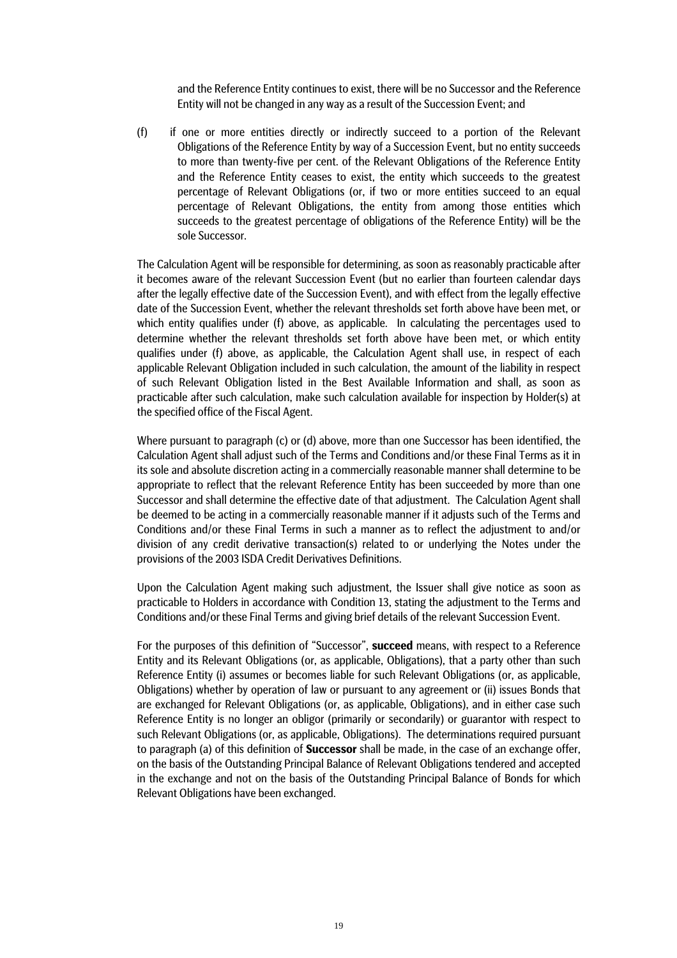and the Reference Entity continues to exist, there will be no Successor and the Reference Entity will not be changed in any way as a result of the Succession Event; and

(f) if one or more entities directly or indirectly succeed to a portion of the Relevant Obligations of the Reference Entity by way of a Succession Event, but no entity succeeds to more than twenty-five per cent. of the Relevant Obligations of the Reference Entity and the Reference Entity ceases to exist, the entity which succeeds to the greatest percentage of Relevant Obligations (or, if two or more entities succeed to an equal percentage of Relevant Obligations, the entity from among those entities which succeeds to the greatest percentage of obligations of the Reference Entity) will be the sole Successor.

The Calculation Agent will be responsible for determining, as soon as reasonably practicable after it becomes aware of the relevant Succession Event (but no earlier than fourteen calendar days after the legally effective date of the Succession Event), and with effect from the legally effective date of the Succession Event, whether the relevant thresholds set forth above have been met, or which entity qualifies under (f) above, as applicable. In calculating the percentages used to determine whether the relevant thresholds set forth above have been met, or which entity qualifies under (f) above, as applicable, the Calculation Agent shall use, in respect of each applicable Relevant Obligation included in such calculation, the amount of the liability in respect of such Relevant Obligation listed in the Best Available Information and shall, as soon as practicable after such calculation, make such calculation available for inspection by Holder(s) at the specified office of the Fiscal Agent.

Where pursuant to paragraph (c) or (d) above, more than one Successor has been identified, the Calculation Agent shall adjust such of the Terms and Conditions and/or these Final Terms as it in its sole and absolute discretion acting in a commercially reasonable manner shall determine to be appropriate to reflect that the relevant Reference Entity has been succeeded by more than one Successor and shall determine the effective date of that adjustment. The Calculation Agent shall be deemed to be acting in a commercially reasonable manner if it adjusts such of the Terms and Conditions and/or these Final Terms in such a manner as to reflect the adjustment to and/or division of any credit derivative transaction(s) related to or underlying the Notes under the provisions of the 2003 ISDA Credit Derivatives Definitions.

Upon the Calculation Agent making such adjustment, the Issuer shall give notice as soon as practicable to Holders in accordance with Condition 13, stating the adjustment to the Terms and Conditions and/or these Final Terms and giving brief details of the relevant Succession Event.

For the purposes of this definition of "Successor", **succeed** means, with respect to a Reference Entity and its Relevant Obligations (or, as applicable, Obligations), that a party other than such Reference Entity (i) assumes or becomes liable for such Relevant Obligations (or, as applicable, Obligations) whether by operation of law or pursuant to any agreement or (ii) issues Bonds that are exchanged for Relevant Obligations (or, as applicable, Obligations), and in either case such Reference Entity is no longer an obligor (primarily or secondarily) or guarantor with respect to such Relevant Obligations (or, as applicable, Obligations). The determinations required pursuant to paragraph (a) of this definition of **Successor** shall be made, in the case of an exchange offer, on the basis of the Outstanding Principal Balance of Relevant Obligations tendered and accepted in the exchange and not on the basis of the Outstanding Principal Balance of Bonds for which Relevant Obligations have been exchanged.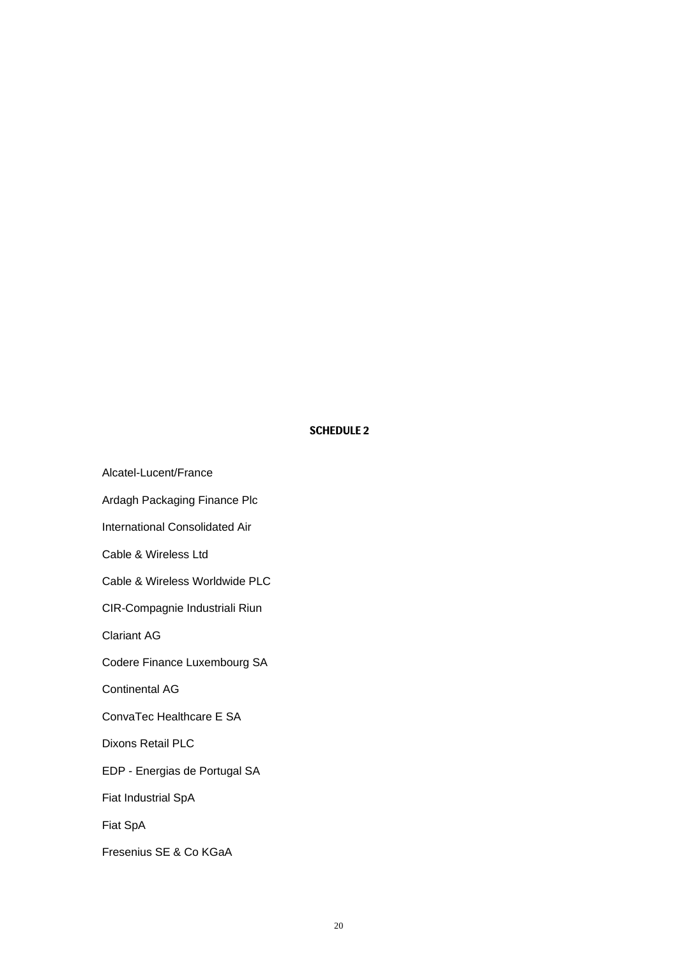# **SCHEDULE 2**

Alcatel-Lucent/France Ardagh Packaging Finance Plc International Consolidated Air Cable & Wireless Ltd Cable & Wireless Worldwide PLC CIR-Compagnie Industriali Riun Clariant AG Codere Finance Luxembourg SA Continental AG ConvaTec Healthcare E SA Dixons Retail PLC EDP - Energias de Portugal SA Fiat Industrial SpA Fiat SpA Fresenius SE & Co KGaA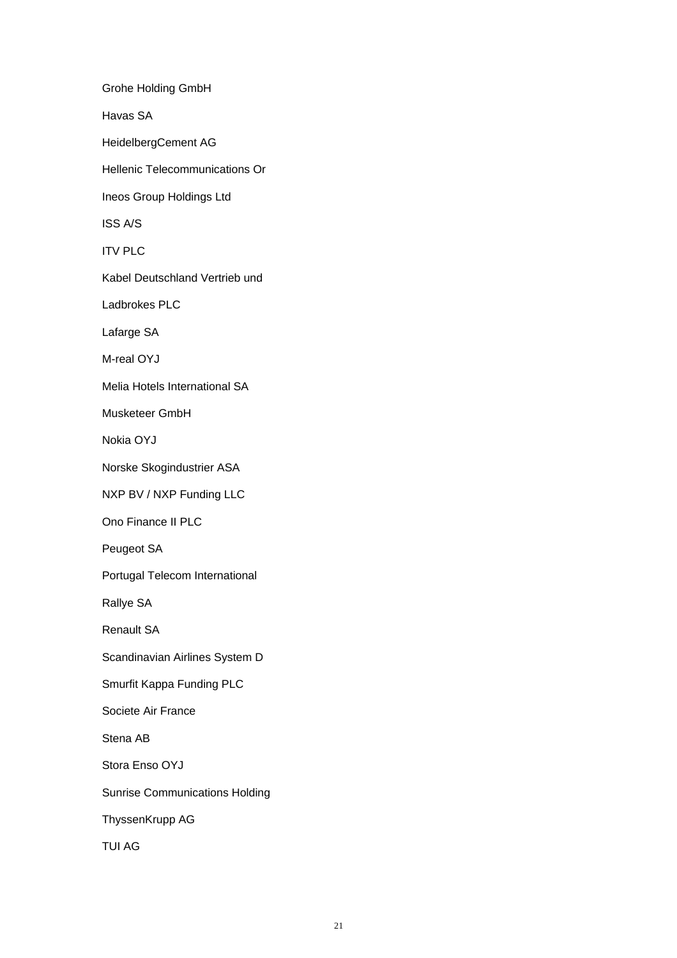Grohe Holding GmbH Havas SA HeidelbergCement AG Hellenic Telecommunications Or Ineos Group Holdings Ltd ISS A/S ITV PLC Kabel Deutschland Vertrieb und Ladbrokes PLC Lafarge SA M-real OYJ Melia Hotels International SA Musketeer GmbH Nokia OYJ Norske Skogindustrier ASA NXP BV / NXP Funding LLC Ono Finance II PLC Peugeot SA Portugal Telecom International Rallye SA Renault SA Scandinavian Airlines System D Smurfit Kappa Funding PLC Societe Air France Stena AB Stora Enso OYJ Sunrise Communications Holding ThyssenKrupp AG TUI AG